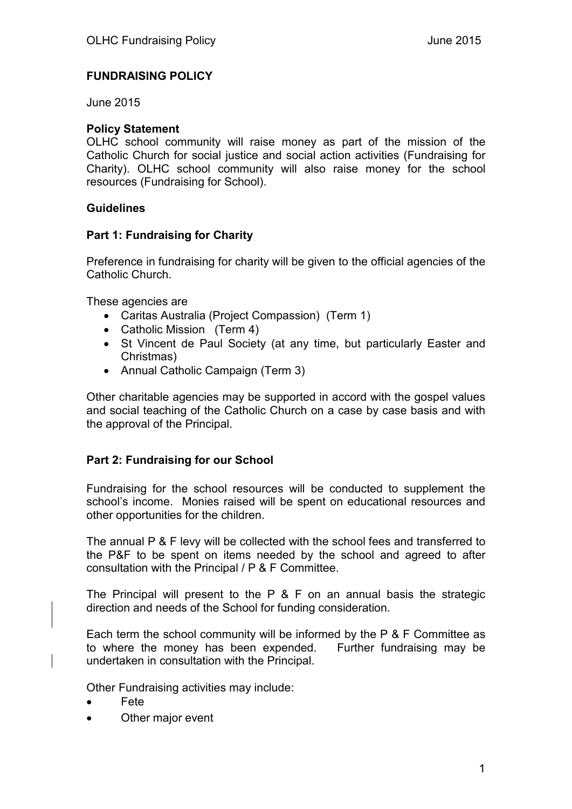## **FUNDRAISING POLICY**

June 2015

#### **Policy Statement**

OLHC school community will raise money as part of the mission of the Catholic Church for social justice and social action activities (Fundraising for Charity). OLHC school community will also raise money for the school resources (Fundraising for School).

#### **Guidelines**

#### **Part 1: Fundraising for Charity**

Preference in fundraising for charity will be given to the official agencies of the Catholic Church.

These agencies are

- Caritas Australia (Project Compassion) (Term 1)
- Catholic Mission (Term 4)
- St Vincent de Paul Society (at any time, but particularly Easter and Christmas)
- Annual Catholic Campaign (Term 3)

Other charitable agencies may be supported in accord with the gospel values and social teaching of the Catholic Church on a case by case basis and with the approval of the Principal.

## **Part 2: Fundraising for our School**

Fundraising for the school resources will be conducted to supplement the school's income. Monies raised will be spent on educational resources and other opportunities for the children.

The annual P & F levy will be collected with the school fees and transferred to the P&F to be spent on items needed by the school and agreed to after consultation with the Principal / P & F Committee.

The Principal will present to the P & F on an annual basis the strategic direction and needs of the School for funding consideration.

Each term the school community will be informed by the P & F Committee as to where the money has been expended. Further fundraising may be undertaken in consultation with the Principal.

Other Fundraising activities may include:

- Fete
- Other major event